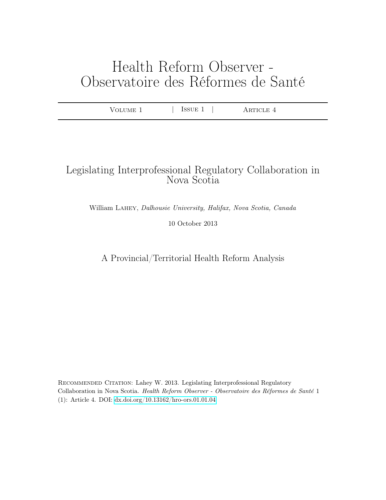# Health Reform Observer - Observatoire des Réformes de Santé

| $-$<br>87 H<br>$\mathbf{u}$<br>-<br>. | ----<br>н | $\overline{\phantom{a}}$<br>. |  |
|---------------------------------------|-----------|-------------------------------|--|
|---------------------------------------|-----------|-------------------------------|--|

# Legislating Interprofessional Regulatory Collaboration in Nova Scotia

William Lahey, Dalhousie University, Halifax, Nova Scotia, Canada

10 October 2013

A Provincial/Territorial Health Reform Analysis

Recommended Citation: Lahey W. 2013. Legislating Interprofessional Regulatory Collaboration in Nova Scotia. Health Reform Observer - Observatoire des Réformes de Santé 1 (1): Article 4. DOI:<dx.doi.org/10.13162/hro-ors.01.01.04>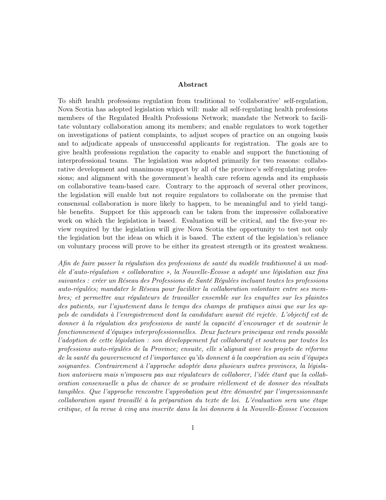#### Abstract

To shift health professions regulation from traditional to 'collaborative' self-regulation, Nova Scotia has adopted legislation which will: make all self-regulating health professions members of the Regulated Health Professions Network; mandate the Network to facilitate voluntary collaboration among its members; and enable regulators to work together on investigations of patient complaints, to adjust scopes of practice on an ongoing basis and to adjudicate appeals of unsuccessful applicants for registration. The goals are to give health professions regulation the capacity to enable and support the functioning of interprofessional teams. The legislation was adopted primarily for two reasons: collaborative development and unanimous support by all of the province's self-regulating professions; and alignment with the government's health care reform agenda and its emphasis on collaborative team-based care. Contrary to the approach of several other provinces, the legislation will enable but not require regulators to collaborate on the premise that consensual collaboration is more likely to happen, to be meaningful and to yield tangible benefits. Support for this approach can be taken from the impressive collaborative work on which the legislation is based. Evaluation will be critical, and the five-year review required by the legislation will give Nova Scotia the opportunity to test not only the legislation but the ideas on which it is based. The extent of the legislation's reliance on voluntary process will prove to be either its greatest strength or its greatest weakness.

Afin de faire passer la régulation des professions de santé du modèle traditionnel à un modèle d'auto-régulation « collaborative », la Nouvelle-Écosse a adopté une législation aux fins suivantes : créer un Réseau des Professions de Santé Régulées incluant toutes les professions auto-régulées; mandater le Réseau pour faciliter la collaboration volontaire entre ses membres; et permettre aux régulateurs de travailler ensemble sur les enquêtes sur les plaintes des patients, sur l'ajustement dans le temps des champs de pratiques ainsi que sur les appels de candidats à l'enregistrement dont la candidature aurait été rejetée. L'objectif est de donner à la régulation des professions de santé la capacité d'encourager et de soutenir le fonctionnement d'équipes interprofessionnelles. Deux facteurs principaux ont rendu possible l'adoption de cette législation : son développement fut collaboratif et soutenu par toutes les professions auto-régulées de la Province; ensuite, elle s'alignait avec les projets de réforme de la santé du gouvernement et l'importance qu'ils donnent à la coopération au sein d'équipes soignantes. Contrairement à l'approche adoptée dans plusieurs autres provinces, la législation autorisera mais n'imposera pas aux régulateurs de collaborer, l'idée étant que la collaboration consensuelle a plus de chance de se produire réellement et de donner des résultats tangibles. Que l'approche rencontre l'approbation peut être démontré par l'impressionnante collaboration ayant travaillé à la préparation du texte de loi. L'évaluation sera une étape critique, et la revue à cinq ans inscrite dans la loi donnera à la Nouvelle-Écosse l'occasion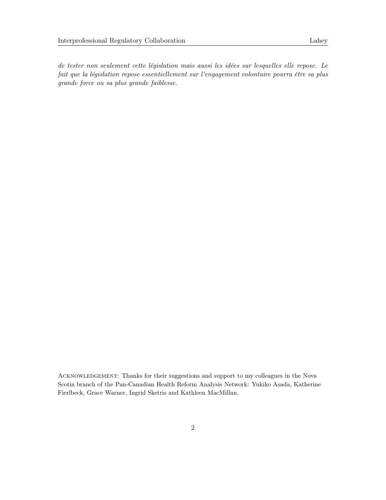de tester non seulement cette législation mais aussi les idées sur lesquelles elle repose. Le fait que la législation repose essentiellement sur l'engagement volontaire pourra être sa plus grande force ou sa plus grande faiblesse.

ACKNOWLEDGEMENT: Thanks for their suggestions and support to my colleagues in the Nova Scotia branch of the Pan-Canadian Health Reform Analysis Network: Yukiko Asada, Katherine Fierlbeck, Grace Warner, Ingrid Sketris and Kathleen MacMillan.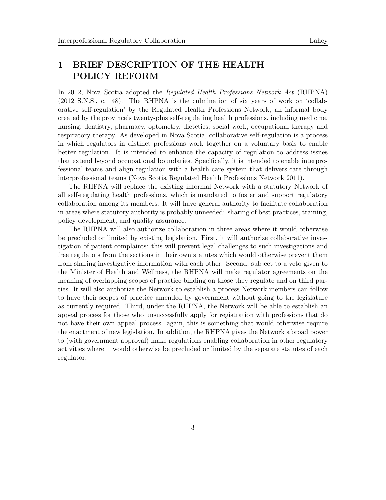## 1 BRIEF DESCRIPTION OF THE HEALTH POLICY REFORM

In 2012, Nova Scotia adopted the Regulated Health Professions Network Act (RHPNA) (2012 S.N.S., c. 48). The RHPNA is the culmination of six years of work on 'collaborative self-regulation' by the Regulated Health Professions Network, an informal body created by the province's twenty-plus self-regulating health professions, including medicine, nursing, dentistry, pharmacy, optometry, dietetics, social work, occupational therapy and respiratory therapy. As developed in Nova Scotia, collaborative self-regulation is a process in which regulators in distinct professions work together on a voluntary basis to enable better regulation. It is intended to enhance the capacity of regulation to address issues that extend beyond occupational boundaries. Specifically, it is intended to enable interprofessional teams and align regulation with a health care system that delivers care through interprofessional teams (Nova Scotia Regulated Health Professions Network 2011).

The RHPNA will replace the existing informal Network with a statutory Network of all self-regulating health professions, which is mandated to foster and support regulatory collaboration among its members. It will have general authority to facilitate collaboration in areas where statutory authority is probably unneeded: sharing of best practices, training, policy development, and quality assurance.

The RHPNA will also authorize collaboration in three areas where it would otherwise be precluded or limited by existing legislation. First, it will authorize collaborative investigation of patient complaints: this will prevent legal challenges to such investigations and free regulators from the sections in their own statutes which would otherwise prevent them from sharing investigative information with each other. Second, subject to a veto given to the Minister of Health and Wellness, the RHPNA will make regulator agreements on the meaning of overlapping scopes of practice binding on those they regulate and on third parties. It will also authorize the Network to establish a process Network members can follow to have their scopes of practice amended by government without going to the legislature as currently required. Third, under the RHPNA, the Network will be able to establish an appeal process for those who unsuccessfully apply for registration with professions that do not have their own appeal process: again, this is something that would otherwise require the enactment of new legislation. In addition, the RHPNA gives the Network a broad power to (with government approval) make regulations enabling collaboration in other regulatory activities where it would otherwise be precluded or limited by the separate statutes of each regulator.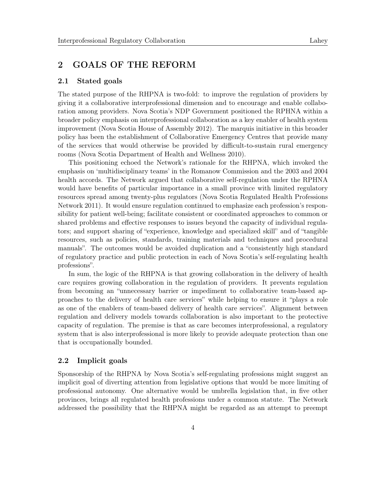## 2 GOALS OF THE REFORM

#### 2.1 Stated goals

The stated purpose of the RHPNA is two-fold: to improve the regulation of providers by giving it a collaborative interprofessional dimension and to encourage and enable collaboration among providers. Nova Scotia's NDP Government positioned the RPHNA within a broader policy emphasis on interprofessional collaboration as a key enabler of health system improvement (Nova Scotia House of Assembly 2012). The marquis initiative in this broader policy has been the establishment of Collaborative Emergency Centres that provide many of the services that would otherwise be provided by difficult-to-sustain rural emergency rooms (Nova Scotia Department of Health and Wellness 2010).

This positioning echoed the Network's rationale for the RHPNA, which invoked the emphasis on 'multidisciplinary teams' in the Romanow Commission and the 2003 and 2004 health accords. The Network argued that collaborative self-regulation under the RPHNA would have benefits of particular importance in a small province with limited regulatory resources spread among twenty-plus regulators (Nova Scotia Regulated Health Professions Network 2011). It would ensure regulation continued to emphasize each profession's responsibility for patient well-being; facilitate consistent or coordinated approaches to common or shared problems and effective responses to issues beyond the capacity of individual regulators; and support sharing of "experience, knowledge and specialized skill" and of "tangible resources, such as policies, standards, training materials and techniques and procedural manuals". The outcomes would be avoided duplication and a "consistently high standard of regulatory practice and public protection in each of Nova Scotia's self-regulating health professions".

In sum, the logic of the RHPNA is that growing collaboration in the delivery of health care requires growing collaboration in the regulation of providers. It prevents regulation from becoming an "unnecessary barrier or impediment to collaborative team-based approaches to the delivery of health care services" while helping to ensure it "plays a role as one of the enablers of team-based delivery of health care services". Alignment between regulation and delivery models towards collaboration is also important to the protective capacity of regulation. The premise is that as care becomes interprofessional, a regulatory system that is also interprofessional is more likely to provide adequate protection than one that is occupationally bounded.

#### 2.2 Implicit goals

Sponsorship of the RHPNA by Nova Scotia's self-regulating professions might suggest an implicit goal of diverting attention from legislative options that would be more limiting of professional autonomy. One alternative would be umbrella legislation that, in five other provinces, brings all regulated health professions under a common statute. The Network addressed the possibility that the RHPNA might be regarded as an attempt to preempt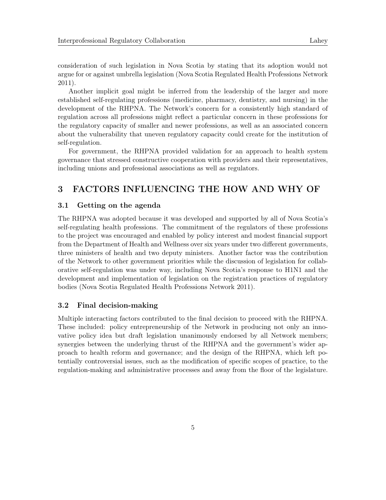consideration of such legislation in Nova Scotia by stating that its adoption would not argue for or against umbrella legislation (Nova Scotia Regulated Health Professions Network 2011).

Another implicit goal might be inferred from the leadership of the larger and more established self-regulating professions (medicine, pharmacy, dentistry, and nursing) in the development of the RHPNA. The Network's concern for a consistently high standard of regulation across all professions might reflect a particular concern in these professions for the regulatory capacity of smaller and newer professions, as well as an associated concern about the vulnerability that uneven regulatory capacity could create for the institution of self-regulation.

For government, the RHPNA provided validation for an approach to health system governance that stressed constructive cooperation with providers and their representatives, including unions and professional associations as well as regulators.

## 3 FACTORS INFLUENCING THE HOW AND WHY OF

#### 3.1 Getting on the agenda

The RHPNA was adopted because it was developed and supported by all of Nova Scotia's self-regulating health professions. The commitment of the regulators of these professions to the project was encouraged and enabled by policy interest and modest financial support from the Department of Health and Wellness over six years under two different governments, three ministers of health and two deputy ministers. Another factor was the contribution of the Network to other government priorities while the discussion of legislation for collaborative self-regulation was under way, including Nova Scotia's response to H1N1 and the development and implementation of legislation on the registration practices of regulatory bodies (Nova Scotia Regulated Health Professions Network 2011).

#### 3.2 Final decision-making

Multiple interacting factors contributed to the final decision to proceed with the RHPNA. These included: policy entrepreneurship of the Network in producing not only an innovative policy idea but draft legislation unanimously endorsed by all Network members; synergies between the underlying thrust of the RHPNA and the government's wider approach to health reform and governance; and the design of the RHPNA, which left potentially controversial issues, such as the modification of specific scopes of practice, to the regulation-making and administrative processes and away from the floor of the legislature.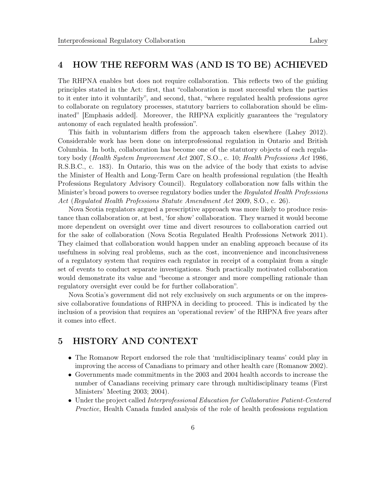## 4 HOW THE REFORM WAS (AND IS TO BE) ACHIEVED

The RHPNA enables but does not require collaboration. This reflects two of the guiding principles stated in the Act: first, that "collaboration is most successful when the parties to it enter into it voluntarily", and second, that, "where regulated health professions agree to collaborate on regulatory processes, statutory barriers to collaboration should be eliminated" [Emphasis added]. Moreover, the RHPNA explicitly guarantees the "regulatory autonomy of each regulated health profession".

This faith in voluntarism differs from the approach taken elsewhere (Lahey 2012). Considerable work has been done on interprofessional regulation in Ontario and British Columbia. In both, collaboration has become one of the statutory objects of each regulatory body (Health System Improvement Act 2007, S.O., c. 10; Health Professions Act 1986, R.S.B.C., c. 183). In Ontario, this was on the advice of the body that exists to advise the Minister of Health and Long-Term Care on health professional regulation (the Health Professions Regulatory Advisory Council). Regulatory collaboration now falls within the Minister's broad powers to oversee regulatory bodies under the Regulated Health Professions Act (Regulated Health Professions Statute Amendment Act 2009, S.O., c. 26).

Nova Scotia regulators argued a prescriptive approach was more likely to produce resistance than collaboration or, at best, 'for show' collaboration. They warned it would become more dependent on oversight over time and divert resources to collaboration carried out for the sake of collaboration (Nova Scotia Regulated Health Professions Network 2011). They claimed that collaboration would happen under an enabling approach because of its usefulness in solving real problems, such as the cost, inconvenience and inconclusiveness of a regulatory system that requires each regulator in receipt of a complaint from a single set of events to conduct separate investigations. Such practically motivated collaboration would demonstrate its value and "become a stronger and more compelling rationale than regulatory oversight ever could be for further collaboration".

Nova Scotia's government did not rely exclusively on such arguments or on the impressive collaborative foundations of RHPNA in deciding to proceed. This is indicated by the inclusion of a provision that requires an 'operational review' of the RHPNA five years after it comes into effect.

## 5 HISTORY AND CONTEXT

- The Romanow Report endorsed the role that 'multidisciplinary teams' could play in improving the access of Canadians to primary and other health care (Romanow 2002).
- Governments made commitments in the 2003 and 2004 health accords to increase the number of Canadians receiving primary care through multidisciplinary teams (First Ministers' Meeting 2003; 2004).
- Under the project called Interprofessional Education for Collaborative Patient-Centered Practice, Health Canada funded analysis of the role of health professions regulation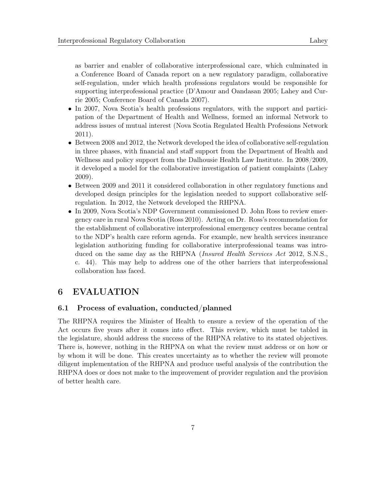as barrier and enabler of collaborative interprofessional care, which culminated in a Conference Board of Canada report on a new regulatory paradigm, collaborative self-regulation, under which health professions regulators would be responsible for supporting interprofessional practice (D'Amour and Oandasan 2005; Lahey and Currie 2005; Conference Board of Canada 2007).

- In 2007, Nova Scotia's health professions regulators, with the support and participation of the Department of Health and Wellness, formed an informal Network to address issues of mutual interest (Nova Scotia Regulated Health Professions Network 2011).
- Between 2008 and 2012, the Network developed the idea of collaborative self-regulation in three phases, with financial and staff support from the Department of Health and Wellness and policy support from the Dalhousie Health Law Institute. In 2008/2009, it developed a model for the collaborative investigation of patient complaints (Lahey 2009).
- Between 2009 and 2011 it considered collaboration in other regulatory functions and developed design principles for the legislation needed to support collaborative selfregulation. In 2012, the Network developed the RHPNA.
- In 2009, Nova Scotia's NDP Government commissioned D. John Ross to review emergency care in rural Nova Scotia (Ross 2010). Acting on Dr. Ross's recommendation for the establishment of collaborative interprofessional emergency centres became central to the NDP's health care reform agenda. For example, new health services insurance legislation authorizing funding for collaborative interprofessional teams was introduced on the same day as the RHPNA (*Insured Health Services Act 2012*, S.N.S., c. 44). This may help to address one of the other barriers that interprofessional collaboration has faced.

## 6 EVALUATION

#### 6.1 Process of evaluation, conducted/planned

The RHPNA requires the Minister of Health to ensure a review of the operation of the Act occurs five years after it comes into effect. This review, which must be tabled in the legislature, should address the success of the RHPNA relative to its stated objectives. There is, however, nothing in the RHPNA on what the review must address or on how or by whom it will be done. This creates uncertainty as to whether the review will promote diligent implementation of the RHPNA and produce useful analysis of the contribution the RHPNA does or does not make to the improvement of provider regulation and the provision of better health care.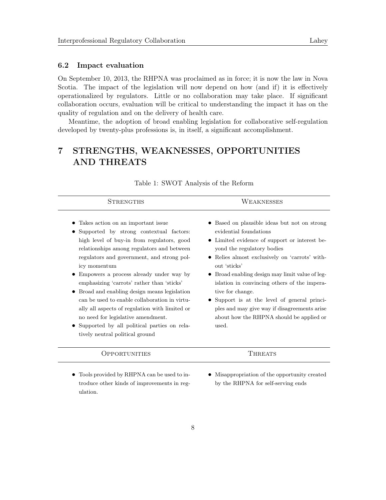#### 6.2 Impact evaluation

On September 10, 2013, the RHPNA was proclaimed as in force; it is now the law in Nova Scotia. The impact of the legislation will now depend on how (and if) it is effectively operationalized by regulators. Little or no collaboration may take place. If significant collaboration occurs, evaluation will be critical to understanding the impact it has on the quality of regulation and on the delivery of health care.

Meantime, the adoption of broad enabling legislation for collaborative self-regulation developed by twenty-plus professions is, in itself, a significant accomplishment.

# 7 STRENGTHS, WEAKNESSES, OPPORTUNITIES AND THREATS

| STRENGTHS                                                                                                                                                                                                                                                                                                                                                                                                                                                                                                                                                                                                                 | WEAKNESSES                                                                                                                                                                                                                                                                                                                                                                                                                                                                                          |
|---------------------------------------------------------------------------------------------------------------------------------------------------------------------------------------------------------------------------------------------------------------------------------------------------------------------------------------------------------------------------------------------------------------------------------------------------------------------------------------------------------------------------------------------------------------------------------------------------------------------------|-----------------------------------------------------------------------------------------------------------------------------------------------------------------------------------------------------------------------------------------------------------------------------------------------------------------------------------------------------------------------------------------------------------------------------------------------------------------------------------------------------|
| Takes action on an important issue<br>Supported by strong contextual factors:<br>high level of buy-in from regulators, good<br>relationships among regulators and between<br>regulators and government, and strong pol-<br>icy momentum<br>Empowers a process already under way by<br>emphasizing 'carrots' rather than 'sticks'<br>Broad and enabling design means legislation<br>$\bullet$<br>can be used to enable collaboration in virtu-<br>ally all aspects of regulation with limited or<br>no need for legislative amendment.<br>• Supported by all political parties on rela-<br>tively neutral political ground | • Based on plausible ideas but not on strong<br>evidential foundations<br>• Limited evidence of support or interest be-<br>yond the regulatory bodies<br>• Relies almost exclusively on 'carrots' with-<br>out 'sticks'<br>• Broad enabling design may limit value of leg-<br>islation in convincing others of the impera-<br>tive for change.<br>• Support is at the level of general princi-<br>ples and may give way if disagreements arise<br>about how the RHPNA should be applied or<br>used. |
| ( <i>DPPORTUNITIES</i>                                                                                                                                                                                                                                                                                                                                                                                                                                                                                                                                                                                                    | <b>THREATS</b>                                                                                                                                                                                                                                                                                                                                                                                                                                                                                      |
| • Tools provided by RHPNA can be used to in-<br>troduce other kinds of improvements in reg-<br>ulation.                                                                                                                                                                                                                                                                                                                                                                                                                                                                                                                   | Misappropriation of the opportunity created<br>by the RHPNA for self-serving ends                                                                                                                                                                                                                                                                                                                                                                                                                   |

Table 1: SWOT Analysis of the Reform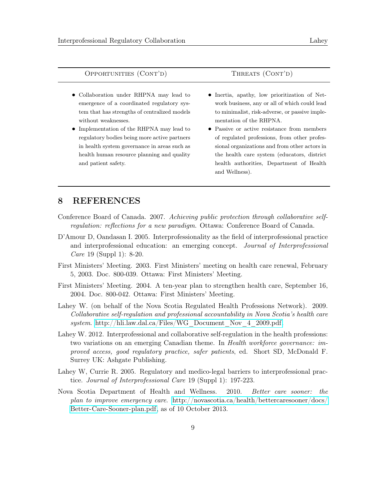| OPPORTUNITIES (CONT'D) | THREATS (CONT'D) |
|------------------------|------------------|
|------------------------|------------------|

- Collaboration under RHPNA may lead to emergence of a coordinated regulatory system that has strengths of centralized models without weaknesses.
- Implementation of the RHPNA may lead to regulatory bodies being more active partners in health system governance in areas such as health human resource planning and quality and patient safety.
- Inertia, apathy, low prioritization of Network business, any or all of which could lead to minimalist, risk-adverse, or passive implementation of the RHPNA.
- Passive or active resistance from members of regulated professions, from other professional organizations and from other actors in the health care system (educators, district health authorities, Department of Health and Wellness).

## 8 REFERENCES

- Conference Board of Canada. 2007. Achieving public protection through collaborative selfregulation: reflections for a new paradigm. Ottawa: Conference Board of Canada.
- D'Amour D, Oandasan I. 2005. Interprofessionality as the field of interprofessional practice and interprofessional education: an emerging concept. Journal of Interprofessional Care 19 (Suppl 1): 8-20.
- First Ministers' Meeting. 2003. First Ministers' meeting on health care renewal, February 5, 2003. Doc. 800-039. Ottawa: First Ministers' Meeting.
- First Ministers' Meeting. 2004. A ten-year plan to strengthen health care, September 16, 2004. Doc. 800-042. Ottawa: First Ministers' Meeting.
- Lahey W. (on behalf of the Nova Scotia Regulated Health Professions Network). 2009. Collaborative self-regulation and professional accountability in Nova Scotia's health care system. [http://hli.law.dal.ca/Files/WG\\_Document\\_Nov\\_4\\_2009.pdf.](http://hli.law.dal.ca/Files/WG_Document_Nov_4_2009.pdf)
- Lahey W. 2012. Interprofessional and collaborative self-regulation in the health professions: two variations on an emerging Canadian theme. In Health workforce governance: improved access, good regulatory practice, safer patients, ed. Short SD, McDonald F. Surrey UK: Ashgate Publishing.
- Lahey W, Currie R. 2005. Regulatory and medico-legal barriers to interprofessional practice. Journal of Interprofessional Care 19 (Suppl 1): 197-223.
- Nova Scotia Department of Health and Wellness. 2010. Better care sooner: the plan to improve emergency care. [http://novascotia.ca/health/bettercaresooner/docs/](http://novascotia.ca/health/bettercaresooner/docs/Better-Care-Sooner-plan.pdf) [Better-Care-Sooner-plan.pdf,](http://novascotia.ca/health/bettercaresooner/docs/Better-Care-Sooner-plan.pdf) as of 10 October 2013.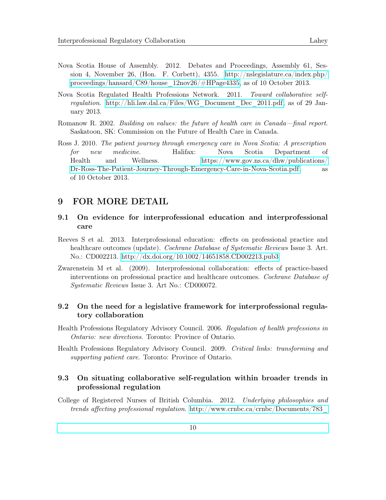- Nova Scotia House of Assembly. 2012. Debates and Proceedings, Assembly 61, Session 4, November 26, (Hon. F. Corbett), 4355. [http://nslegislature.ca/index.php/](http://nslegislature.ca/index.php/proceedings/hansard/C89/house_12nov26/#HPage4335) [proceedings/hansard/C89/house\\_12nov26/#HPage4335,](http://nslegislature.ca/index.php/proceedings/hansard/C89/house_12nov26/#HPage4335) as of 10 October 2013.
- Nova Scotia Regulated Health Professions Network. 2011. Toward collaborative selfregulation. [http://hli.law.dal.ca/Files/WG\\_Document\\_Dec\\_2011.pdf,](http://hli.law.dal.ca/Files/WG_Document_Dec_2011.pdf) as of 29 January 2013.
- Romanow R. 2002. Building on values: the future of health care in Canada—final report. Saskatoon, SK: Commission on the Future of Health Care in Canada.
- Ross J. 2010. The patient journey through emergency care in Nova Scotia: A prescription for new medicine. Halifax: Nova Scotia Department of Health and Wellness. [https://www.gov.ns.ca/dhw/publications/](https://www.gov.ns.ca/dhw/publications/Dr-Ross-The-Patient-Journey-Through-Emergency-Care-in-Nova-Scotia.pdf) [Dr-Ross-The-Patient-Journey-Through-Emergency-Care-in-Nova-Scotia.pdf,](https://www.gov.ns.ca/dhw/publications/Dr-Ross-The-Patient-Journey-Through-Emergency-Care-in-Nova-Scotia.pdf) as of 10 October 2013.

## 9 FOR MORE DETAIL

#### 9.1 On evidence for interprofessional education and interprofessional care

- Reeves S et al. 2013. Interprofessional education: effects on professional practice and healthcare outcomes (update). *Cochrane Database of Systematic Reviews* Issue 3. Art. No.: CD002213.<http://dx.doi.org/10.1002/14651858.CD002213.pub3>
- Zwarenstein M et al. (2009). Interprofessional collaboration: effects of practice-based interventions on professional practice and healthcare outcomes. Cochrane Database of Systematic Reviews Issue 3. Art No.: CD000072.

#### 9.2 On the need for a legislative framework for interprofessional regulatory collaboration

- Health Professions Regulatory Advisory Council. 2006. Regulation of health professions in Ontario: new directions. Toronto: Province of Ontario.
- Health Professions Regulatory Advisory Council. 2009. Critical links: transforming and supporting patient care. Toronto: Province of Ontario.

### 9.3 On situating collaborative self-regulation within broader trends in professional regulation

College of Registered Nurses of British Columbia. 2012. Underlying philosophies and trends affecting professional regulation. [http://www.crnbc.ca/crnbc/Documents/783\\_](http://www.crnbc.ca/crnbc/Documents/783_framework.pdf)